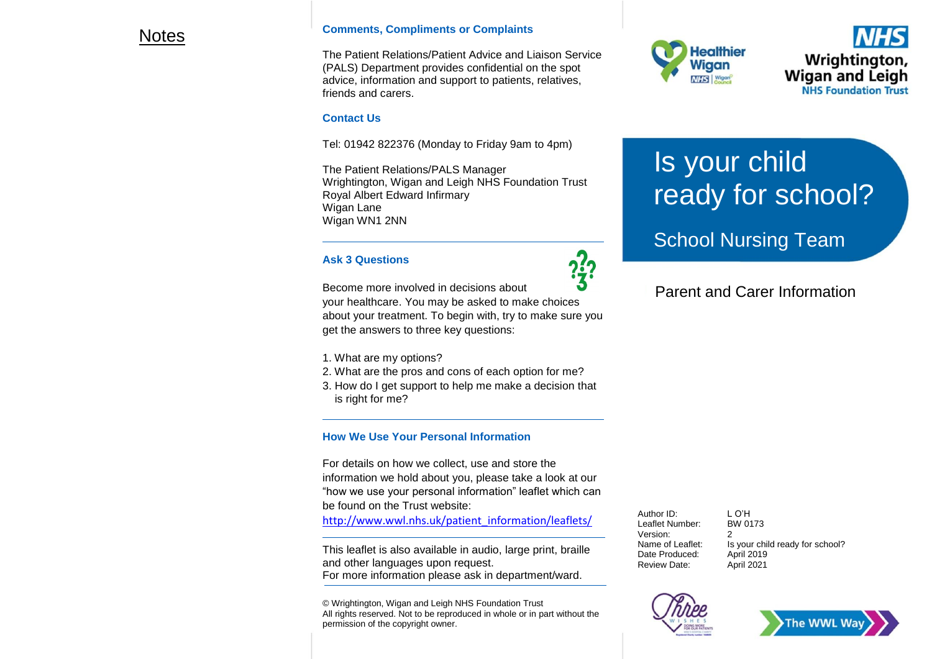### Notes

#### **Comments, Compliments or Complaints**

The Patient Relations/Patient Advice and Liaison Service (PALS) Department provides confidential on the spot advice, information and support to patients, relatives, friends and carers.

### **Contact Us**

Tel: 01942 822376 (Monday to Friday 9am to 4pm)

The Patient Relations/PALS Manager Wrightington, Wigan and Leigh NHS Foundation Trust Royal Albert Edward Infirmary Wigan Lane Wigan WN1 2NN

### **Ask 3 Questions**

Become more involved in decisions about

your healthcare. You may be asked to make choices about your treatment. To begin with, try to make sure you get the answers to three key questions:

- 1. What are my options?
- 2. What are the pros and cons of each option for me?
- 3. How do I get support to help me make a decision that is right for me?

### **How We Use Your Personal Information**

For details on how we collect, use and store the information we hold about you, please take a look at our "how we use your personal information" leaflet which can be found on the Trust website:

[http://www.wwl.nhs.uk/patient\\_information/leaflets/](http://www.wwl.nhs.uk/patient_information/leaflets/)

This leaflet is also available in audio, large print, braille and other languages upon request. For more information please ask in department/ward.

© Wrightington, Wigan and Leigh NHS Foundation Trust All rights reserved. Not to be reproduced in whole or in part without the permission of the copyright owner.



Wrightington, **Wigan and Leigh NHS Foundation Trust** 

# Is your child ready for school?

# School Nursing Team

## Parent and Carer Information

Author ID: LO'H<br>Leaflet Number: BW 0173 Leaflet Number: Version: 2 Date Produced: Review Date: April 2021

Name of Leaflet: Is your child ready for school?<br>Date Produced: April 2019